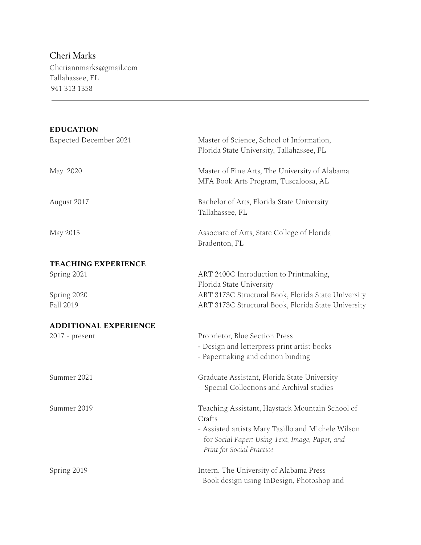## Cheri Marks

 $\frac{1}{2} \left( \frac{1}{2} \right)^{2} \left( \frac{1}{2} \right)^{2} \left( \frac{1}{2} \right)^{2} \left( \frac{1}{2} \right)^{2} \left( \frac{1}{2} \right)^{2} \left( \frac{1}{2} \right)^{2} \left( \frac{1}{2} \right)^{2} \left( \frac{1}{2} \right)^{2} \left( \frac{1}{2} \right)^{2} \left( \frac{1}{2} \right)^{2} \left( \frac{1}{2} \right)^{2} \left( \frac{1}{2} \right)^{2} \left( \frac{1}{2} \right)^{2} \left( \frac$ 

Cheriannmarks@gmail.com Tallahassee, FL 941 313 1358

| <b>EDUCATION</b>             |                                                                                                                                    |
|------------------------------|------------------------------------------------------------------------------------------------------------------------------------|
| Expected December 2021       | Master of Science, School of Information,<br>Florida State University, Tallahassee, FL                                             |
| May 2020                     | Master of Fine Arts, The University of Alabama<br>MFA Book Arts Program, Tuscaloosa, AL                                            |
| August 2017                  | Bachelor of Arts, Florida State University<br>Tallahassee, FL                                                                      |
| May 2015                     | Associate of Arts, State College of Florida<br>Bradenton, FL                                                                       |
| <b>TEACHING EXPERIENCE</b>   |                                                                                                                                    |
| Spring 2021                  | ART 2400C Introduction to Printmaking,                                                                                             |
|                              | Florida State University                                                                                                           |
| Spring 2020                  | ART 3173C Structural Book, Florida State University                                                                                |
| Fall 2019                    | ART 3173C Structural Book, Florida State University                                                                                |
| <b>ADDITIONAL EXPERIENCE</b> |                                                                                                                                    |
| $2017$ - present             | Proprietor, Blue Section Press                                                                                                     |
|                              | - Design and letterpress print artist books                                                                                        |
|                              | - Papermaking and edition binding                                                                                                  |
| Summer 2021                  | Graduate Assistant, Florida State University                                                                                       |
|                              | - Special Collections and Archival studies                                                                                         |
| Summer 2019                  | Teaching Assistant, Haystack Mountain School of                                                                                    |
|                              | Crafts                                                                                                                             |
|                              | - Assisted artists Mary Tasillo and Michele Wilson<br>for Social Paper: Using Text, Image, Paper, and<br>Print for Social Practice |
|                              |                                                                                                                                    |
| Spring 2019                  | Intern, The University of Alabama Press                                                                                            |
|                              | - Book design using InDesign, Photoshop and                                                                                        |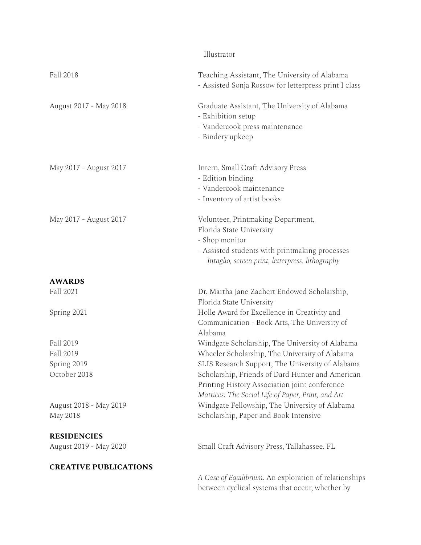|                                    | Illustrator                                                                                                                                                                                                 |
|------------------------------------|-------------------------------------------------------------------------------------------------------------------------------------------------------------------------------------------------------------|
| Fall 2018                          | Teaching Assistant, The University of Alabama<br>- Assisted Sonja Rossow for letterpress print I class                                                                                                      |
| August 2017 - May 2018             | Graduate Assistant, The University of Alabama<br>- Exhibition setup<br>- Vandercook press maintenance<br>- Bindery upkeep                                                                                   |
| May 2017 - August 2017             | Intern, Small Craft Advisory Press<br>- Edition binding<br>- Vandercook maintenance<br>- Inventory of artist books                                                                                          |
| May 2017 - August 2017             | Volunteer, Printmaking Department,<br>Florida State University<br>- Shop monitor<br>- Assisted students with printmaking processes<br>Intaglio, screen print, letterpress, lithography                      |
| <b>AWARDS</b>                      |                                                                                                                                                                                                             |
| Fall 2021                          | Dr. Martha Jane Zachert Endowed Scholarship,<br>Florida State University                                                                                                                                    |
| Spring 2021                        | Holle Award for Excellence in Creativity and<br>Communication - Book Arts, The University of<br>Alabama                                                                                                     |
| Fall 2019                          | Windgate Scholarship, The University of Alabama                                                                                                                                                             |
| Fall 2019                          | Wheeler Scholarship, The University of Alabama                                                                                                                                                              |
| Spring 2019<br>October 2018        | SLIS Research Support, The University of Alabama<br>Scholarship, Friends of Dard Hunter and American<br>Printing History Association joint conference<br>Matrices: The Social Life of Paper, Print, and Art |
| August 2018 - May 2019<br>May 2018 | Windgate Fellowship, The University of Alabama<br>Scholarship, Paper and Book Intensive                                                                                                                     |
| <b>RESIDENCIES</b>                 |                                                                                                                                                                                                             |
| August 2019 - May 2020             | Small Craft Advisory Press, Tallahassee, FL                                                                                                                                                                 |
| <b>CREATIVE PUBLICATIONS</b>       |                                                                                                                                                                                                             |
|                                    | A Case of Equilibrium. An exploration of relationships<br>between cyclical systems that occur, whether by                                                                                                   |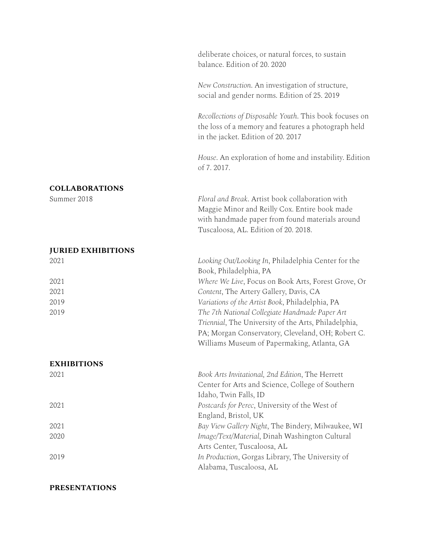|                           | deliberate choices, or natural forces, to sustain<br>balance. Edition of 20. 2020                                                                                                                          |
|---------------------------|------------------------------------------------------------------------------------------------------------------------------------------------------------------------------------------------------------|
|                           | New Construction. An investigation of structure,<br>social and gender norms. Edition of 25. 2019                                                                                                           |
|                           | Recollections of Disposable Youth. This book focuses on<br>the loss of a memory and features a photograph held<br>in the jacket. Edition of 20. 2017                                                       |
|                           | House. An exploration of home and instability. Edition<br>of 7.2017.                                                                                                                                       |
| <b>COLLABORATIONS</b>     |                                                                                                                                                                                                            |
| Summer 2018               | Floral and Break. Artist book collaboration with<br>Maggie Minor and Reilly Cox. Entire book made<br>with handmade paper from found materials around<br>Tuscaloosa, AL. Edition of 20. 2018.               |
| <b>JURIED EXHIBITIONS</b> |                                                                                                                                                                                                            |
| 2021                      | Looking Out/Looking In, Philadelphia Center for the<br>Book, Philadelphia, PA                                                                                                                              |
| 2021                      | Where We Live, Focus on Book Arts, Forest Grove, Or                                                                                                                                                        |
| 2021                      | Content, The Artery Gallery, Davis, CA                                                                                                                                                                     |
| 2019                      | Variations of the Artist Book, Philadelphia, PA                                                                                                                                                            |
| 2019                      | The 7th National Collegiate Handmade Paper Art<br>Triennial, The University of the Arts, Philadelphia,<br>PA; Morgan Conservatory, Cleveland, OH; Robert C.<br>Williams Museum of Papermaking, Atlanta, GA |
| <b>EXHIBITIONS</b>        |                                                                                                                                                                                                            |
| 2021                      | Book Arts Invitational, 2nd Edition, The Herrett<br>Center for Arts and Science, College of Southern<br>Idaho, Twin Falls, ID                                                                              |
| 2021                      | Postcards for Perec, University of the West of<br>England, Bristol, UK                                                                                                                                     |
| 2021                      | Bay View Gallery Night, The Bindery, Milwaukee, WI                                                                                                                                                         |
| 2020                      | Image/Text/Material, Dinah Washington Cultural<br>Arts Center, Tuscaloosa, AL                                                                                                                              |
| 2019                      | In Production, Gorgas Library, The University of<br>Alabama, Tuscaloosa, AL                                                                                                                                |

## **PRESENTATIONS**